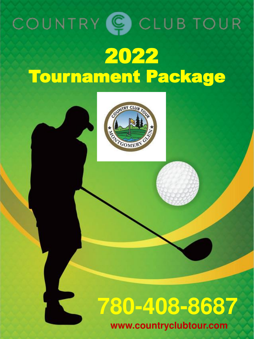



# **780-408-8687**

**www.countryclubtour.com**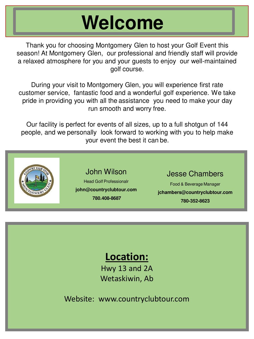# **Welcome**

Thank you for choosing Montgomery Glen to host your Golf Event this season! At Montgomery Glen, our professional and friendly staff will provide a relaxed atmosphere for you and your guests to enjoy our well-maintained golf course.

During your visit to Montgomery Glen, you will experience first rate customer service, fantastic food and a wonderful golf experience. We take pride in providing you with all the assistance you need to make your day run smooth and worry free.

Our facility is perfect for events of all sizes, up to a full shotgun of 144 people, and we personally look forward to working with you to help make your event the best it can be.



### **Location:**

Hwy 13 and 2A Wetaskiwin, Ab

Website: www.countryclubtour.com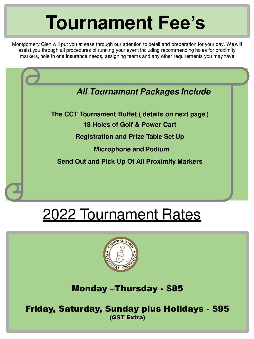# **Tournament Fee's**

Montgomery Glen will put you at ease through our attention to detail and preparation for your day. Wewill assist you through all procedures of running your event including recommending holes for proximity markers, hole in one insurance needs, assigning teams and any other requirements you mayhave

### **All Tournament Packages Include**

**The CCT Tournament Buffet ( details on next page ) 18 Holes of Golf & Power Cart Registration and Prize Table Set Up Microphone and Podium**

**Send Out and Pick Up Of All Proximity Markers**

## 2022 Tournament Rates



Monday –Thursday - \$85

Friday, Saturday, Sunday plus Holidays - \$95 (GST Extra)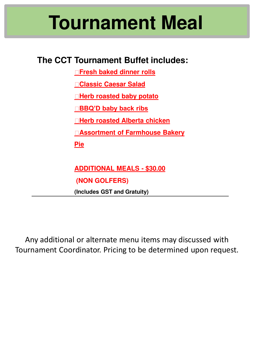# **Tournament Meal**

### **The CCT Tournament Buffet includes:**

**Fresh baked dinner rolls**

**Classic Caesar Salad**

**Herb roasted baby potato**

**BBQ'D baby back ribs** 

**Herb roasted Alberta chicken**

**Assortment of Farmhouse Bakery** 

**Pie**

**ADDITIONAL MEALS - \$30.00**

**(NON GOLFERS)**

**(Includes GST and Gratuity)**

Any additional or alternate menu items may discussed with Tournament Coordinator. Pricing to be determined upon request.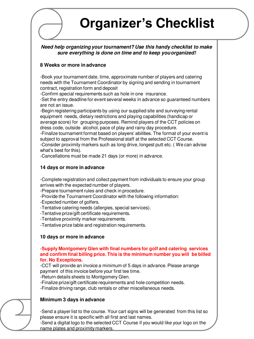## **Organizer's Checklist**

#### **Need help organizing your tournament? Use this handy checklist to make sure everything is done on time and to keep youorganized!**

#### **8 Weeks or more in advance**

-Book your tournament date, time, approximate number of players and catering needs with the Tournament Coordinator by signing and sending in tournament contract, registration form and deposit

-Confirm special requirements such as hole in one insurance.

-Set the entry deadline for event several weeks in advance so guaranteed numbers are not an issue.

-Begin registering participants by using our supplied site and surveying rental equipment needs, dietary restrictions and playing capabilities (handicap or average score) for grouping purposes. Remind players of the CCT policies on dress code, outside alcohol, pace of play and rainy day procedure.

-Finalize tournament format based on players' abilities. The format of your event is subject to approval from the Professional staff at the selected CCT Course.

-Consider proximity markers such as long drive, longest putt etc. ( We can advise what's best for this).

-Cancellations must be made 21 days (or more) in advance.

#### **14 days or more in advance**

-Complete registration and collect payment from individuals to ensure your group arrives with the expected number of players.

-Prepare tournament rules and check in procedure.

-Provide the Tournament Coordinator with the following information:

-Expected number of golfers.

- -Tentative catering needs (allergies, special services).
- -Tentative prize/gift certificate requirements.

-Tentative proximity marker requirements.

-Tentative prize table and registration requirements.

#### **10 days or more in advance**

#### -**Supply Montgomery Glen with final numbers for golf and catering services and confirm final billing price. This is the minimum number you will be billed for. No Exceptions.**

-CCT will provide an invoice a minimum of 5 days in advance. Please arrange payment of this invoice before your first tee time.

-Return details sheets to Montgomery Glen.

-Finalize prize/gift certificate requirements and hole competition needs.

-Finalize driving range, club rentals or other miscellaneous needs.

#### **Minimum 3 days in advance**

-Send a player list to the course. Your cart signs will be generated from this list so please ensure it is specific with all first and last names.

-Send a digital logo to the selected CCT Course if you would like your logo on the name plates and proximity markers.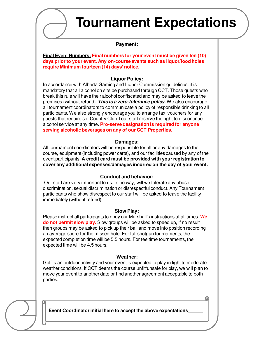

### **Tournament Expectations**

#### **Payment:**

**Final Event Numbers: Final numbers for your event must be given ten (10) days prior to your event. Any on-course events such as liquor/food holes require Minimum fourteen (14) days' notice.**

#### **Liquor Policy:**

In accordance with Alberta Gaming and Liquor Commission guidelines, it is mandatory that all alcohol on site be purchased through CCT. Those guests who break this rule will have their alcohol confiscated and may be asked to leave the premises (without refund). **This is a zero-tolerance policy.** We also encourage all tournament coordinators to communicate a policy of responsible drinking to all participants. We also strongly encourage you to arrange taxi vouchers for any guests that require so. Country Club Tour staff reserve the right to discontinue alcohol service at any time. **Pro-serve designation is required for anyone serving alcoholic beverages on any of our CCT Properties.**

#### **Damages:**

All tournament coordinators will be responsible for all or any damages to the course, equipment (including power carts), and our facilities caused by any of the event participants. **A credit card must be provided with your registration to cover any additional expenses/damages incurred on the day of your event.**

#### **Conduct and behavior:**

Our staff are very important to us. In no way, will we tolerate any abuse, discrimination, sexual discrimination or disrespectful conduct. Any Tournament participants who show disrespect to our staff will be asked to leave the facility immediately (without refund).

#### **Slow Play:**

Please instruct all participants to obey our Marshall's instructions at all times. **We do not permit slow play.** Slow groups will be asked to speed up, if no result then groups may be asked to pick up their ball and move into position recording an average score for the missed hole. For full shotgun tournaments, the expected completion time will be 5.5 hours. For tee time tournaments, the expected time will be 4.5 hours.

#### **Weather:**

Golf is an outdoor activity and your event is expected to play in light to moderate weather conditions. If CCT deems the course unfit/unsafe for play, we will plan to move your event to another date or find another agreement acceptable to both parties.



**Event Coordinator initial here to accept the above expectations**